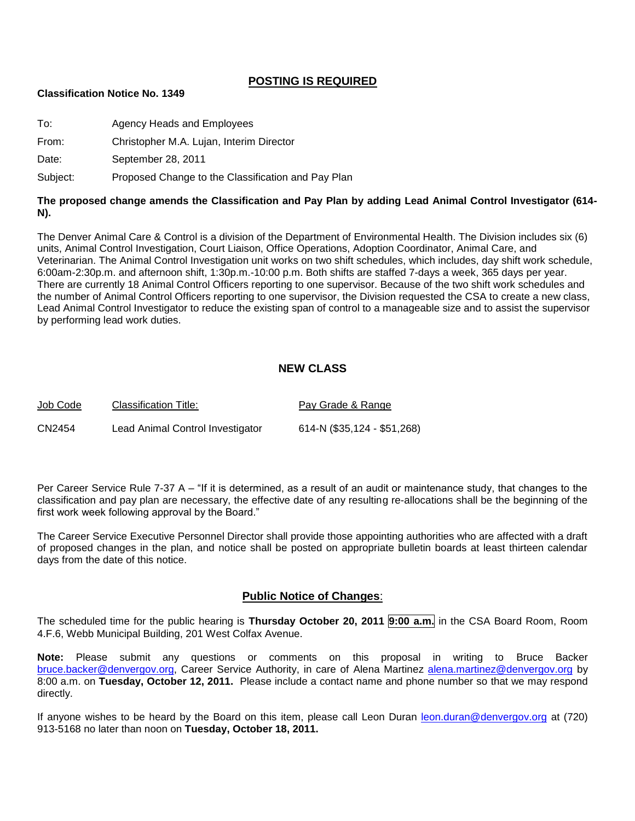#### **POSTING IS REQUIRED**

#### **Classification Notice No. 1349**

To: Agency Heads and Employees

From: Christopher M.A. Lujan, Interim Director

Date: September 28, 2011

Subject: Proposed Change to the Classification and Pay Plan

#### **The proposed change amends the Classification and Pay Plan by adding Lead Animal Control Investigator (614- N).**

The Denver Animal Care & Control is a division of the Department of Environmental Health. The Division includes six (6) units, Animal Control Investigation, Court Liaison, Office Operations, Adoption Coordinator, Animal Care, and Veterinarian. The Animal Control Investigation unit works on two shift schedules, which includes, day shift work schedule, 6:00am-2:30p.m. and afternoon shift, 1:30p.m.-10:00 p.m. Both shifts are staffed 7-days a week, 365 days per year. There are currently 18 Animal Control Officers reporting to one supervisor. Because of the two shift work schedules and the number of Animal Control Officers reporting to one supervisor, the Division requested the CSA to create a new class, Lead Animal Control Investigator to reduce the existing span of control to a manageable size and to assist the supervisor by performing lead work duties.

#### **NEW CLASS**

| Job Code | Classification Title:            | Pay Grade & Range           |
|----------|----------------------------------|-----------------------------|
| CN2454   | Lead Animal Control Investigator | 614-N (\$35,124 - \$51,268) |

Per Career Service Rule 7-37 A – "If it is determined, as a result of an audit or maintenance study, that changes to the classification and pay plan are necessary, the effective date of any resulting re-allocations shall be the beginning of the first work week following approval by the Board."

The Career Service Executive Personnel Director shall provide those appointing authorities who are affected with a draft of proposed changes in the plan, and notice shall be posted on appropriate bulletin boards at least thirteen calendar days from the date of this notice.

#### **Public Notice of Changes**:

The scheduled time for the public hearing is **Thursday October 20, 2011 9:00 a.m.** in the CSA Board Room, Room 4.F.6, Webb Municipal Building, 201 West Colfax Avenue.

**Note:** Please submit any questions or comments on this proposal in writing to Bruce Backer [bruce.backer@denvergov.org,](mailto:bruce.backer@denvergov.org) Career Service Authority, in care of Alena Martinez [alena.martinez@denvergov.org](mailto:alena.martinez@denvergov.org) by 8:00 a.m. on **Tuesday, October 12, 2011.** Please include a contact name and phone number so that we may respond directly.

If anyone wishes to be heard by the Board on this item, please call Leon Duran [leon.duran@denvergov.org](mailto:leon.duran@denvergov.org) at (720) 913-5168 no later than noon on **Tuesday, October 18, 2011.**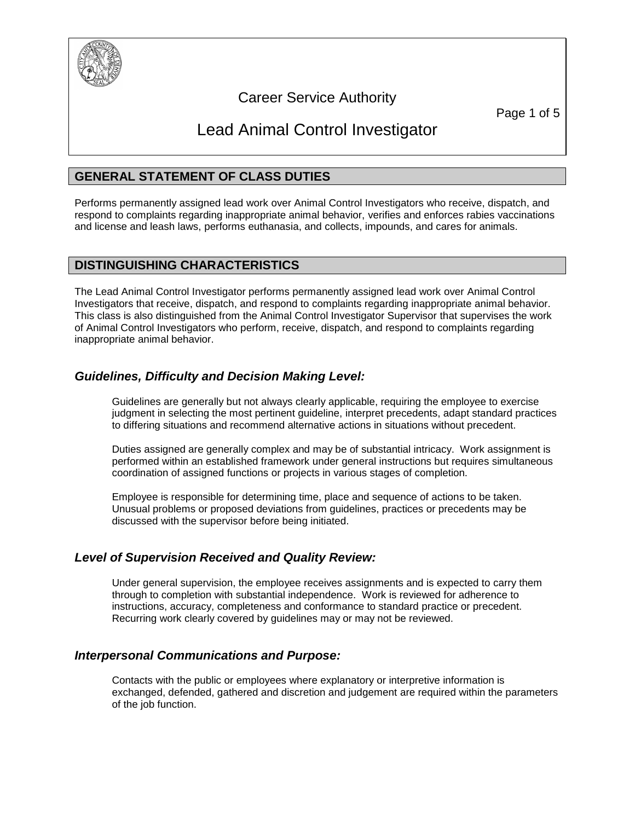

# Career Service Authority

Page 1 of 5

# Lead Animal Control Investigator

# **GENERAL STATEMENT OF CLASS DUTIES**

Performs permanently assigned lead work over Animal Control Investigators who receive, dispatch, and respond to complaints regarding inappropriate animal behavior, verifies and enforces rabies vaccinations and license and leash laws, performs euthanasia, and collects, impounds, and cares for animals.

#### **DISTINGUISHING CHARACTERISTICS**

The Lead Animal Control Investigator performs permanently assigned lead work over Animal Control Investigators that receive, dispatch, and respond to complaints regarding inappropriate animal behavior. This class is also distinguished from the Animal Control Investigator Supervisor that supervises the work of Animal Control Investigators who perform, receive, dispatch, and respond to complaints regarding inappropriate animal behavior.

# *Guidelines, Difficulty and Decision Making Level:*

Guidelines are generally but not always clearly applicable, requiring the employee to exercise judgment in selecting the most pertinent guideline, interpret precedents, adapt standard practices to differing situations and recommend alternative actions in situations without precedent.

Duties assigned are generally complex and may be of substantial intricacy. Work assignment is performed within an established framework under general instructions but requires simultaneous coordination of assigned functions or projects in various stages of completion.

Employee is responsible for determining time, place and sequence of actions to be taken. Unusual problems or proposed deviations from guidelines, practices or precedents may be discussed with the supervisor before being initiated.

### *Level of Supervision Received and Quality Review:*

Under general supervision, the employee receives assignments and is expected to carry them through to completion with substantial independence. Work is reviewed for adherence to instructions, accuracy, completeness and conformance to standard practice or precedent. Recurring work clearly covered by guidelines may or may not be reviewed.

### *Interpersonal Communications and Purpose:*

Contacts with the public or employees where explanatory or interpretive information is exchanged, defended, gathered and discretion and judgement are required within the parameters of the job function.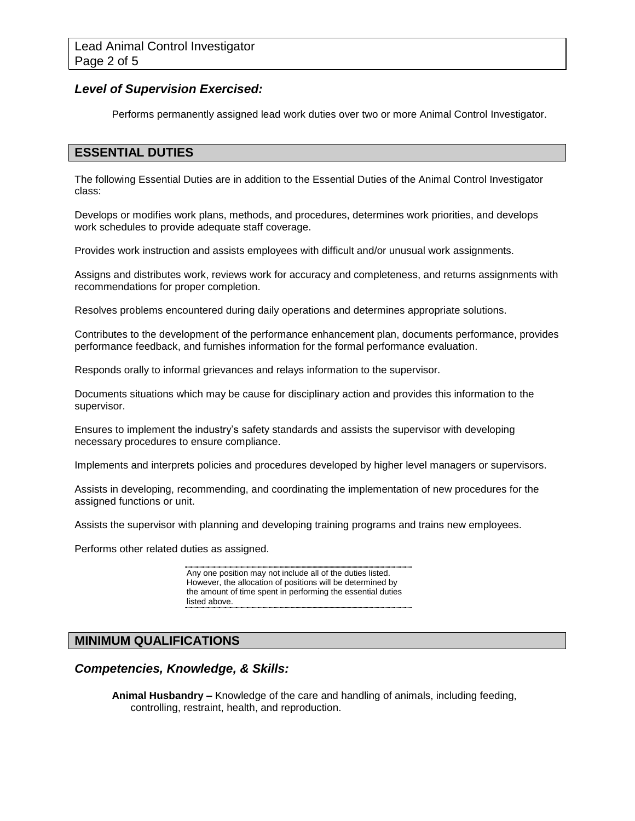#### *Level of Supervision Exercised:*

Performs permanently assigned lead work duties over two or more Animal Control Investigator.

### **ESSENTIAL DUTIES**

The following Essential Duties are in addition to the Essential Duties of the Animal Control Investigator class:

Develops or modifies work plans, methods, and procedures, determines work priorities, and develops work schedules to provide adequate staff coverage.

Provides work instruction and assists employees with difficult and/or unusual work assignments.

Assigns and distributes work, reviews work for accuracy and completeness, and returns assignments with recommendations for proper completion.

Resolves problems encountered during daily operations and determines appropriate solutions.

Contributes to the development of the performance enhancement plan, documents performance, provides performance feedback, and furnishes information for the formal performance evaluation.

Responds orally to informal grievances and relays information to the supervisor.

Documents situations which may be cause for disciplinary action and provides this information to the supervisor.

Ensures to implement the industry's safety standards and assists the supervisor with developing necessary procedures to ensure compliance.

Implements and interprets policies and procedures developed by higher level managers or supervisors.

Assists in developing, recommending, and coordinating the implementation of new procedures for the assigned functions or unit.

Assists the supervisor with planning and developing training programs and trains new employees.

Performs other related duties as assigned.

Any one position may not include all of the duties listed. However, the allocation of positions will be determined by the amount of time spent in performing the essential duties listed above.

### **MINIMUM QUALIFICATIONS**

#### *Competencies, Knowledge, & Skills:*

**Animal Husbandry –** Knowledge of the care and handling of animals, including feeding, controlling, restraint, health, and reproduction.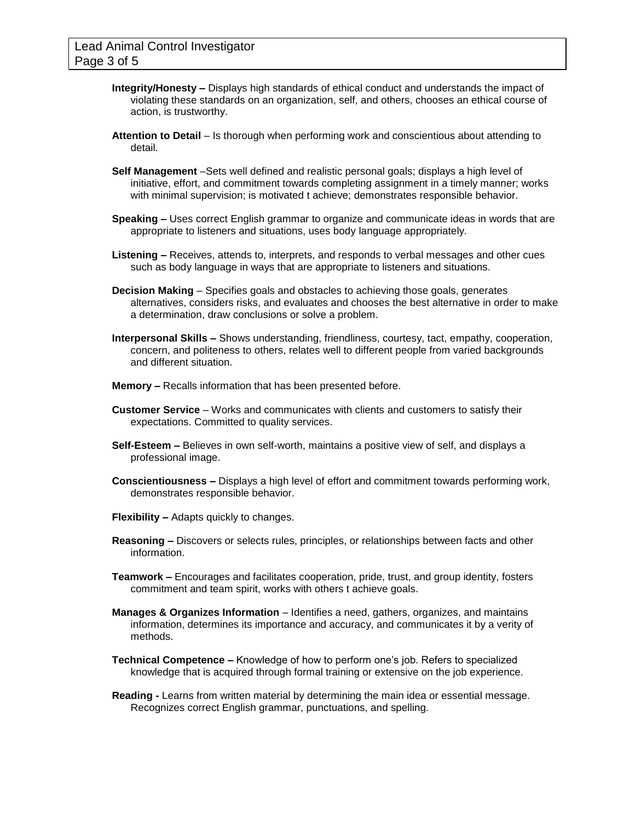- **Integrity/Honesty –** Displays high standards of ethical conduct and understands the impact of violating these standards on an organization, self, and others, chooses an ethical course of action, is trustworthy.
- **Attention to Detail**  Is thorough when performing work and conscientious about attending to detail.
- **Self Management** –Sets well defined and realistic personal goals; displays a high level of initiative, effort, and commitment towards completing assignment in a timely manner; works with minimal supervision; is motivated t achieve; demonstrates responsible behavior.
- **Speaking –** Uses correct English grammar to organize and communicate ideas in words that are appropriate to listeners and situations, uses body language appropriately.
- **Listening –** Receives, attends to, interprets, and responds to verbal messages and other cues such as body language in ways that are appropriate to listeners and situations.
- **Decision Making**  Specifies goals and obstacles to achieving those goals, generates alternatives, considers risks, and evaluates and chooses the best alternative in order to make a determination, draw conclusions or solve a problem.
- **Interpersonal Skills –** Shows understanding, friendliness, courtesy, tact, empathy, cooperation, concern, and politeness to others, relates well to different people from varied backgrounds and different situation.
- **Memory –** Recalls information that has been presented before.
- **Customer Service**  Works and communicates with clients and customers to satisfy their expectations. Committed to quality services.
- **Self-Esteem –** Believes in own self-worth, maintains a positive view of self, and displays a professional image.
- **Conscientiousness –** Displays a high level of effort and commitment towards performing work, demonstrates responsible behavior.
- **Flexibility –** Adapts quickly to changes.
- **Reasoning –** Discovers or selects rules, principles, or relationships between facts and other information.
- **Teamwork –** Encourages and facilitates cooperation, pride, trust, and group identity, fosters commitment and team spirit, works with others t achieve goals.
- **Manages & Organizes Information**  Identifies a need, gathers, organizes, and maintains information, determines its importance and accuracy, and communicates it by a verity of methods.
- **Technical Competence –** Knowledge of how to perform one's job. Refers to specialized knowledge that is acquired through formal training or extensive on the job experience.
- **Reading -** Learns from written material by determining the main idea or essential message. Recognizes correct English grammar, punctuations, and spelling.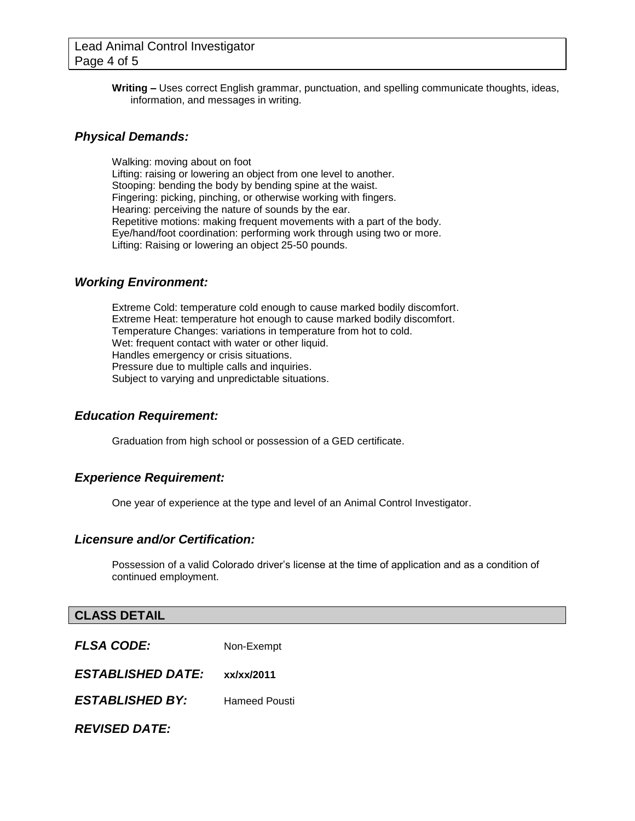**Writing –** Uses correct English grammar, punctuation, and spelling communicate thoughts, ideas, information, and messages in writing.

#### *Physical Demands:*

Walking: moving about on foot Lifting: raising or lowering an object from one level to another. Stooping: bending the body by bending spine at the waist. Fingering: picking, pinching, or otherwise working with fingers. Hearing: perceiving the nature of sounds by the ear. Repetitive motions: making frequent movements with a part of the body. Eye/hand/foot coordination: performing work through using two or more. Lifting: Raising or lowering an object 25-50 pounds.

#### *Working Environment:*

Extreme Cold: temperature cold enough to cause marked bodily discomfort. Extreme Heat: temperature hot enough to cause marked bodily discomfort. Temperature Changes: variations in temperature from hot to cold. Wet: frequent contact with water or other liquid. Handles emergency or crisis situations. Pressure due to multiple calls and inquiries. Subject to varying and unpredictable situations.

#### *Education Requirement:*

Graduation from high school or possession of a GED certificate.

#### *Experience Requirement:*

One year of experience at the type and level of an Animal Control Investigator.

#### *Licensure and/or Certification:*

Possession of a valid Colorado driver's license at the time of application and as a condition of continued employment.

#### **CLASS DETAIL**

*FLSA CODE:* Non-Exempt

*ESTABLISHED DATE:* **xx/xx/2011**

*ESTABLISHED BY:* Hameed Pousti

*REVISED DATE:*